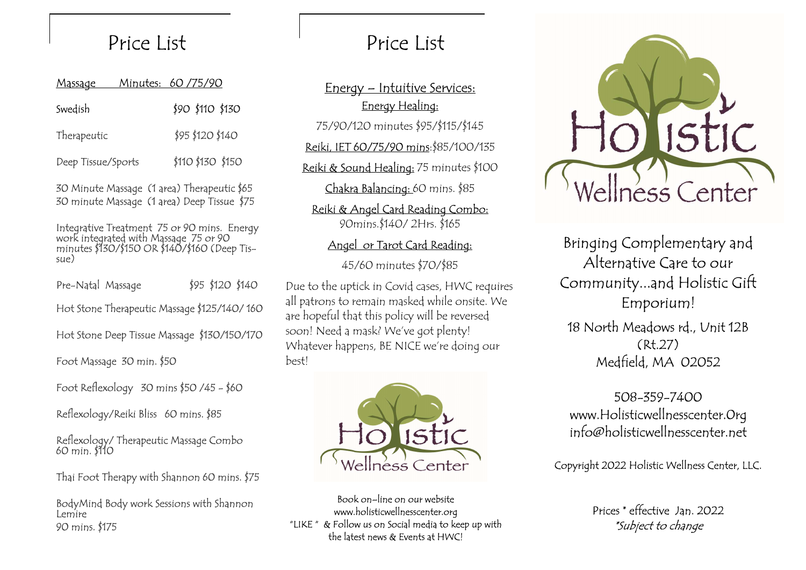| <u>Massage</u>     | Minutes: 60/75/90 |
|--------------------|-------------------|
| Swedish            | \$90 \$110 \$130  |
| Therapeutic        | \$95 \$120 \$140  |
| Deep Tissue/Sports | \$110 \$130 \$150 |